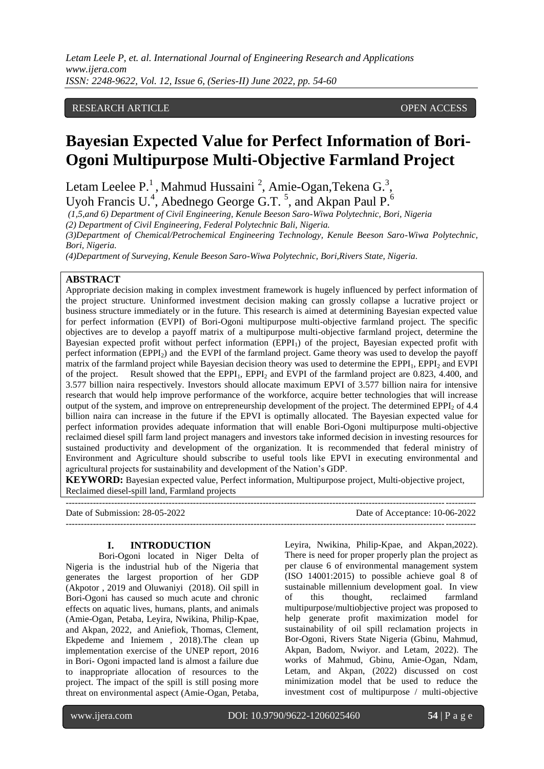*Letam Leele P, et. al. International Journal of Engineering Research and Applications www.ijera.com ISSN: 2248-9622, Vol. 12, Issue 6, (Series-II) June 2022, pp. 54-60*

### RESEARCH ARTICLE **CONSERVERS** OPEN ACCESS

# **Bayesian Expected Value for Perfect Information of Bori-Ogoni Multipurpose Multi-Objective Farmland Project**

Letam Leelee P.<sup>1</sup>, Mahmud Hussaini<sup>2</sup>, Amie-Ogan, Tekena G.<sup>3</sup>, Uyoh Francis U.<sup>4</sup>, Abednego George G.T.<sup>5</sup>, and Akpan Paul P.<sup>6</sup>

*(1,5,and 6) Department of Civil Engineering, Kenule Beeson Saro-Wiwa Polytechnic, Bori, Nigeria*

*(2) Department of Civil Engineering, Federal Polytechnic Bali, Nigeria.*

*(3)Department of Chemical/Petrochemical Engineering Technology, Kenule Beeson Saro-Wiwa Polytechnic, Bori, Nigeria.*

*(4)Department of Surveying, Kenule Beeson Saro-Wiwa Polytechnic, Bori,Rivers State, Nigeria.*

#### **ABSTRACT**

Appropriate decision making in complex investment framework is hugely influenced by perfect information of the project structure. Uninformed investment decision making can grossly collapse a lucrative project or business structure immediately or in the future. This research is aimed at determining Bayesian expected value for perfect information (EVPI) of Bori-Ogoni multipurpose multi-objective farmland project. The specific objectives are to develop a payoff matrix of a multipurpose multi-objective farmland project, determine the Bayesian expected profit without perfect information (EPPI<sub>1</sub>) of the project, Bayesian expected profit with perfect information  $(EPPI_2)$  and the EVPI of the farmland project. Game theory was used to develop the payoff matrix of the farmland project while Bayesian decision theory was used to determine the EPPI<sub>1</sub>, EPPI<sub>2</sub> and EVPI of the project. Result showed that the EPPI<sub>1</sub>, EPPI<sub>2</sub> and EVPI of the farmland project are 0.823, 4.400, and 3.577 billion naira respectively. Investors should allocate maximum EPVI of 3.577 billion naira for intensive research that would help improve performance of the workforce, acquire better technologies that will increase output of the system, and improve on entrepreneurship development of the project. The determined EPPI<sub>2</sub> of 4.4 billion naira can increase in the future if the EPVI is optimally allocated. The Bayesian expected value for perfect information provides adequate information that will enable Bori-Ogoni multipurpose multi-objective reclaimed diesel spill farm land project managers and investors take informed decision in investing resources for sustained productivity and development of the organization. It is recommended that federal ministry of Environment and Agriculture should subscribe to useful tools like EPVI in executing environmental and agricultural projects for sustainability and development of the Nation's GDP.

**KEYWORD:** Bayesian expected value, Perfect information, Multipurpose project, Multi-objective project, Reclaimed diesel-spill land, Farmland projects

Date of Submission: 28-05-2022 Date of Acceptance: 10-06-2022 ---------------------------------------------------------------------------------------------------------------------------------------

#### **I. INTRODUCTION**

 $-1-\frac{1}{2}$ 

Bori-Ogoni located in Niger Delta of Nigeria is the industrial hub of the Nigeria that generates the largest proportion of her GDP (Akpotor , 2019 and Oluwaniyi (2018). Oil spill in Bori-Ogoni has caused so much acute and chronic effects on aquatic lives, humans, plants, and animals (Amie-Ogan, Petaba, Leyira, Nwikina, Philip-Kpae, and Akpan, 2022, and Aniefiok, Thomas, Clement, Ekpedeme and Iniemem , 2018).The clean up implementation exercise of the UNEP report, 2016 in Bori- Ogoni impacted land is almost a failure due to inappropriate allocation of resources to the project. The impact of the spill is still posing more threat on environmental aspect (Amie-Ogan, Petaba,

Leyira, Nwikina, Philip-Kpae, and Akpan,2022). There is need for proper properly plan the project as per clause 6 of environmental management system (ISO 14001:2015) to possible achieve goal 8 of sustainable millennium development goal. In view of this thought, reclaimed farmland multipurpose/multiobjective project was proposed to help generate profit maximization model for sustainability of oil spill reclamation projects in Bor-Ogoni, Rivers State Nigeria (Gbinu, Mahmud, Akpan, Badom, Nwiyor. and Letam, 2022). The works of Mahmud, Gbinu, Amie-Ogan, Ndam, Letam, and Akpan, (2022) discussed on cost minimization model that be used to reduce the investment cost of multipurpose / multi-objective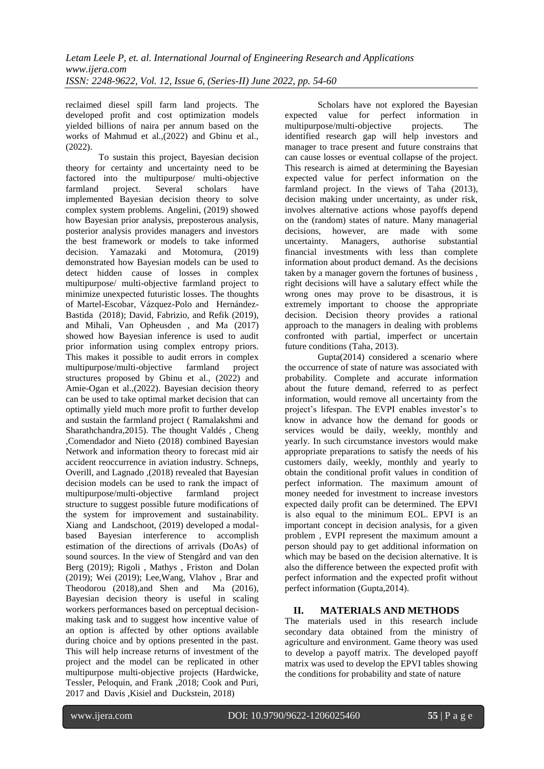reclaimed diesel spill farm land projects. The developed profit and cost optimization models yielded billions of naira per annum based on the works of Mahmud et al.,(2022) and Gbinu et al.,  $(2022)$ 

To sustain this project, Bayesian decision theory for certainty and uncertainty need to be factored into the multipurpose/ multi-objective farmland project. Several scholars have implemented Bayesian decision theory to solve complex system problems. Angelini, (2019) showed how Bayesian prior analysis, preposterous analysis, posterior analysis provides managers and investors the best framework or models to take informed decision. Yamazaki and Motomura, (2019) demonstrated how Bayesian models can be used to detect hidden cause of losses in complex multipurpose/ multi-objective farmland project to minimize unexpected futuristic losses. The thoughts of Martel-Escobar, Vázquez-Polo and Hernández-Bastida (2018); David, Fabrizio, and Refik (2019), and Mihali, Van Opheusden , and Ma (2017) showed how Bayesian inference is used to audit prior information using complex entropy priors. This makes it possible to audit errors in complex multipurpose/multi-objective farmland project structures proposed by Gbinu et al., (2022) and Amie-Ogan et al.,(2022). Bayesian decision theory can be used to take optimal market decision that can optimally yield much more profit to further develop and sustain the farmland project ( Ramalakshmi and Sharathchandra,2015). The thought Valdés , Cheng ,Comendador and Nieto (2018) combined Bayesian Network and information theory to forecast mid air accident reoccurrence in aviation industry. Schneps, Overill, and Lagnado ,(2018) revealed that Bayesian decision models can be used to rank the impact of multipurpose/multi-objective farmland project structure to suggest possible future modifications of the system for improvement and sustainability. Xiang and Landschoot, (2019) developed a modalbased Bayesian interference to accomplish estimation of the directions of arrivals (DoAs) of sound sources. In the view of Stengård and van den Berg (2019); Rigoli , Mathys , Friston and Dolan (2019); Wei (2019); Lee,Wang, Vlahov , Brar and Theodorou (2018),and Shen and Ma (2016), Bayesian decision theory is useful in scaling workers performances based on perceptual decisionmaking task and to suggest how incentive value of an option is affected by other options available during choice and by options presented in the past. This will help increase returns of investment of the project and the model can be replicated in other multipurpose multi-objective projects (Hardwicke, Tessler, Peloquin, and Frank ,2018; Cook and Puri, 2017 and Davis ,Kisiel and Duckstein, 2018)

Scholars have not explored the Bayesian expected value for perfect information in multipurpose/multi-objective projects. The identified research gap will help investors and manager to trace present and future constrains that can cause losses or eventual collapse of the project. This research is aimed at determining the Bayesian expected value for perfect information on the farmland project. In the views of Taha (2013), decision making under uncertainty, as under risk, involves alternative actions whose payoffs depend on the (random) states of nature. Many managerial decisions, however, are made with some uncertainty. Managers, authorise substantial financial investments with less than complete information about product demand. As the decisions taken by a manager govern the fortunes of business , right decisions will have a salutary effect while the wrong ones may prove to be disastrous, it is extremely important to choose the appropriate decision. Decision theory provides a rational approach to the managers in dealing with problems confronted with partial, imperfect or uncertain future conditions (Taha, 2013).

Gupta(2014) considered a scenario where the occurrence of state of nature was associated with probability. Complete and accurate information about the future demand, referred to as perfect information, would remove all uncertainty from the project's lifespan. The EVPI enables investor's to know in advance how the demand for goods or services would be daily, weekly, monthly and yearly. In such circumstance investors would make appropriate preparations to satisfy the needs of his customers daily, weekly, monthly and yearly to obtain the conditional profit values in condition of perfect information. The maximum amount of money needed for investment to increase investors expected daily profit can be determined. The EPVI is also equal to the minimum EOL. EPVI is an important concept in decision analysis, for a given problem , EVPI represent the maximum amount a person should pay to get additional information on which may be based on the decision alternative. It is also the difference between the expected profit with perfect information and the expected profit without perfect information (Gupta,2014).

# **II. MATERIALS AND METHODS**

The materials used in this research include secondary data obtained from the ministry of agriculture and environment. Game theory was used to develop a payoff matrix. The developed payoff matrix was used to develop the EPVI tables showing the conditions for probability and state of nature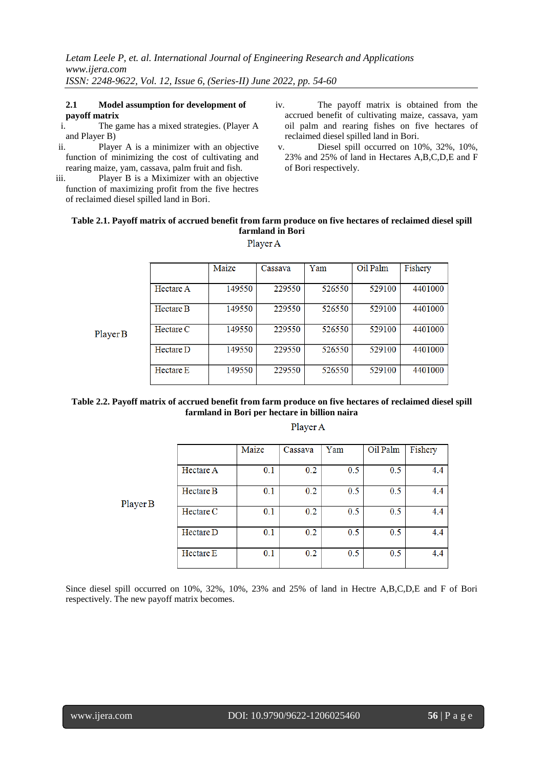# **2.1 Model assumption for development of payoff matrix** i. The g

- The game has a mixed strategies. (Player A and Player B)
- ii. Player A is a minimizer with an objective function of minimizing the cost of cultivating and rearing maize, yam, cassava, palm fruit and fish.
- iii. Player B is a Miximizer with an objective function of maximizing profit from the five hectres of reclaimed diesel spilled land in Bori.
- iv. The payoff matrix is obtained from the accrued benefit of cultivating maize, cassava, yam oil palm and rearing fishes on five hectares of reclaimed diesel spilled land in Bori.
- v. Diesel spill occurred on 10%, 32%, 10%, 23% and 25% of land in Hectares A,B,C,D,E and F of Bori respectively.

#### **Table 2.1. Payoff matrix of accrued benefit from farm produce on five hectares of reclaimed diesel spill farmland in Bori** Player A

|          |                  | Maize  | Cassava | Yam    | Oil Palm | Fishery |
|----------|------------------|--------|---------|--------|----------|---------|
|          |                  |        |         |        |          |         |
|          | <b>Hectare A</b> | 149550 | 229550  | 526550 | 529100   | 4401000 |
|          | <b>Hectare B</b> | 149550 | 229550  | 526550 | 529100   | 4401000 |
| Player B | Hectare C        | 149550 | 229550  | 526550 | 529100   | 4401000 |
|          | Hectare D        | 149550 | 229550  | 526550 | 529100   | 4401000 |
|          | Hectare E        | 149550 | 229550  | 526550 | 529100   | 4401000 |

#### **Table 2.2. Payoff matrix of accrued benefit from farm produce on five hectares of reclaimed diesel spill farmland in Bori per hectare in billion naira**

|          |           | Maize | Cassava | Yam | Oil Palm | Fishery |
|----------|-----------|-------|---------|-----|----------|---------|
|          | Hectare A | 0.1   | 0.2     | 0.5 | 0.5      | 4.4     |
| Player B | Hectare B | 0.1   | 0.2     | 0.5 | 0.5      | 4.4     |
|          | Hectare C | 0.1   | 0.2     | 0.5 | 0.5      | 4.4     |
|          | Hectare D | 0.1   | 0.2     | 0.5 | 0.5      | 4.4     |
|          | Hectare E | 0.1   | 0.2     | 0.5 | 0.5      | 4.4     |

#### Player A

Since diesel spill occurred on 10%, 32%, 10%, 23% and 25% of land in Hectre A,B,C,D,E and F of Bori respectively. The new payoff matrix becomes.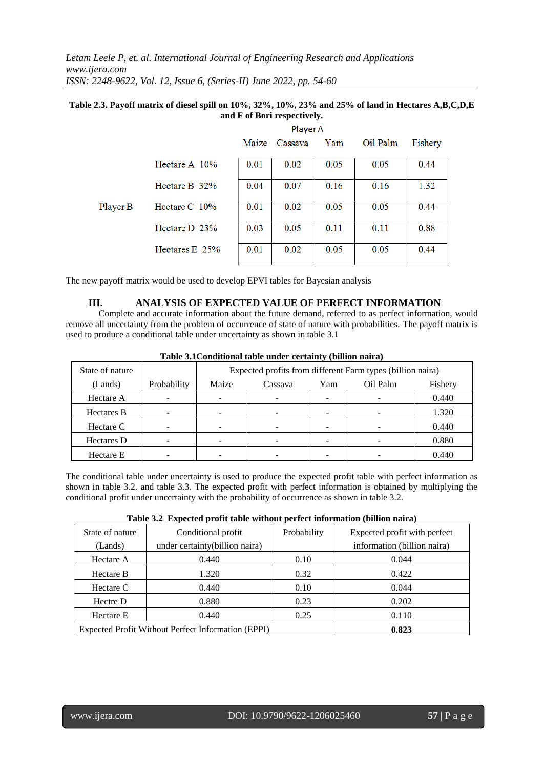*Letam Leele P, et. al. International Journal of Engineering Research and Applications www.ijera.com ISSN: 2248-9622, Vol. 12, Issue 6, (Series-II) June 2022, pp. 54-60*

#### **Table 2.3. Payoff matrix of diesel spill on 10%, 32%, 10%, 23% and 25% of land in Hectares A,B,C,D,E and F of Bori respectively.**

|          |                  | Player A |         |      |          |         |  |
|----------|------------------|----------|---------|------|----------|---------|--|
|          |                  | Maize    | Cassava | Yam  | Oil Palm | Fishery |  |
|          | Hectare A $10\%$ | 0.01     | 0.02    | 0.05 | 0.05     | 0.44    |  |
|          | Hectare B $32\%$ | 0.04     | 0.07    | 0.16 | 0.16     | 1.32    |  |
| Player B | Hectare $C$ 10%  | 0.01     | 0.02    | 0.05 | 0.05     | 0.44    |  |
|          | Hectare $D$ 23%  | 0.03     | 0.05    | 0.11 | 0.11     | 0.88    |  |
|          | Hectares $E$ 25% | 0.01     | 0.02    | 0.05 | 0.05     | 0.44    |  |

The new payoff matrix would be used to develop EPVI tables for Bayesian analysis

#### **III. ANALYSIS OF EXPECTED VALUE OF PERFECT INFORMATION**

Complete and accurate information about the future demand, referred to as perfect information, would remove all uncertainty from the problem of occurrence of state of nature with probabilities. The payoff matrix is used to produce a conditional table under uncertainty as shown in table 3.1

| State of nature   |             | Expected profits from different Farm types (billion naira) |         |     |          |         |  |
|-------------------|-------------|------------------------------------------------------------|---------|-----|----------|---------|--|
| (Lands)           | Probability | Maize                                                      | Cassava | Yam | Oil Palm | Fishery |  |
| Hectare A         |             |                                                            | -       |     | -        | 0.440   |  |
| <b>Hectares B</b> |             |                                                            |         |     |          | 1.320   |  |
| Hectare C         |             |                                                            |         |     |          | 0.440   |  |
| Hectares D        |             |                                                            |         |     |          | 0.880   |  |
| Hectare E         |             |                                                            |         |     |          | 0.440   |  |

**Table 3.1Conditional table under certainty (billion naira)**

The conditional table under uncertainty is used to produce the expected profit table with perfect information as shown in table 3.2. and table 3.3. The expected profit with perfect information is obtained by multiplying the conditional profit under uncertainty with the probability of occurrence as shown in table 3.2.

|  |  | Table 3.2 Expected profit table without perfect information (billion naira) |  |  |
|--|--|-----------------------------------------------------------------------------|--|--|
|--|--|-----------------------------------------------------------------------------|--|--|

| State of nature | Conditional profit                                 | Probability | Expected profit with perfect |
|-----------------|----------------------------------------------------|-------------|------------------------------|
| (Lands)         | under certainty(billion naira)                     |             | information (billion naira)  |
| Hectare A       | 0.440                                              | 0.10        | 0.044                        |
| Hectare B       | 1.320                                              | 0.32        | 0.422                        |
| Hectare C       | 0.440                                              | 0.10        | 0.044                        |
| Hectre D        | 0.880                                              | 0.23        | 0.202                        |
| Hectare E       | 0.440                                              | 0.25        | 0.110                        |
|                 | Expected Profit Without Perfect Information (EPPI) | 0.823       |                              |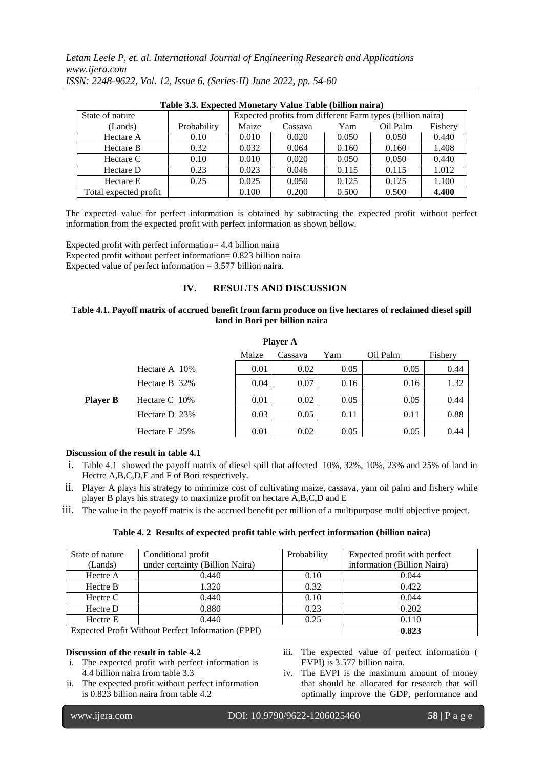*Letam Leele P, et. al. International Journal of Engineering Research and Applications www.ijera.com ISSN: 2248-9622, Vol. 12, Issue 6, (Series-II) June 2022, pp. 54-60*

| Table 3.3. Expected Monetary Value Table (billion naira) |             |       |                                                            |       |          |         |  |
|----------------------------------------------------------|-------------|-------|------------------------------------------------------------|-------|----------|---------|--|
| State of nature                                          |             |       | Expected profits from different Farm types (billion naira) |       |          |         |  |
| (Lands)                                                  | Probability | Maize | Cassava                                                    | Yam   | Oil Palm | Fishery |  |
| Hectare A                                                | 0.10        | 0.010 | 0.020                                                      | 0.050 | 0.050    | 0.440   |  |
| Hectare B                                                | 0.32        | 0.032 | 0.064                                                      | 0.160 | 0.160    | 1.408   |  |
| Hectare C                                                | 0.10        | 0.010 | 0.020                                                      | 0.050 | 0.050    | 0.440   |  |
| Hectare D                                                | 0.23        | 0.023 | 0.046                                                      | 0.115 | 0.115    | 1.012   |  |
| Hectare E                                                | 0.25        | 0.025 | 0.050                                                      | 0.125 | 0.125    | 1.100   |  |
| Total expected profit                                    |             | 0.100 | 0.200                                                      | 0.500 | 0.500    | 4.400   |  |

|  | Table 3.3 Expected Monetary Value Table (billion pairs |  |  |
|--|--------------------------------------------------------|--|--|

The expected value for perfect information is obtained by subtracting the expected profit without perfect information from the expected profit with perfect information as shown bellow.

Expected profit with perfect information= 4.4 billion naira Expected profit without perfect information= 0.823 billion naira Expected value of perfect information  $= 3.577$  billion naira.

#### **IV. RESULTS AND DISCUSSION**

#### **Table 4.1. Payoff matrix of accrued benefit from farm produce on five hectares of reclaimed diesel spill land in Bori per billion naira**

| <b>Player A</b>                                |                |      |      |      |      |      |  |  |
|------------------------------------------------|----------------|------|------|------|------|------|--|--|
| Oil Palm<br>Maize<br>Yam<br>Fishery<br>Cassava |                |      |      |      |      |      |  |  |
|                                                | Hectare A 10\% | 0.01 | 0.02 | 0.05 | 0.05 | 0.44 |  |  |
| <b>Player B</b>                                | Hectare B 32%  | 0.04 | 0.07 | 0.16 | 0.16 | 1.32 |  |  |
|                                                | Hectare C 10%  | 0.01 | 0.02 | 0.05 | 0.05 | 0.44 |  |  |
|                                                | Hectare D 23%  | 0.03 | 0.05 | 0.11 | 0.11 | 0.88 |  |  |
|                                                | Hectare E 25%  | 0.01 | 0.02 | 0.05 | 0.05 | 0.44 |  |  |

#### **Discussion of the result in table 4.1**

- i. Table 4.1 showed the payoff matrix of diesel spill that affected 10%, 32%, 10%, 23% and 25% of land in Hectre A,B,C,D,E and F of Bori respectively.
- ii. Player A plays his strategy to minimize cost of cultivating maize, cassava, yam oil palm and fishery while player B plays his strategy to maximize profit on hectare A,B,C,D and E
- iii. The value in the payoff matrix is the accrued benefit per million of a multipurpose multi objective project.

#### **Table 4. 2 Results of expected profit table with perfect information (billion naira)**

| State of nature | Conditional profit                                 | Probability | Expected profit with perfect |
|-----------------|----------------------------------------------------|-------------|------------------------------|
| (Lands)         | under certainty (Billion Naira)                    |             | information (Billion Naira)  |
| Hectre A        | 0.440                                              | 0.10        | 0.044                        |
| Hectre B        | 1.320                                              | 0.32        | 0.422                        |
| Hectre C        | 0.440                                              | 0.10        | 0.044                        |
| Hectre D        | 0.880                                              | 0.23        | 0.202                        |
| Hectre E        | 0.440                                              | 0.25        | 0.110                        |
|                 | Expected Profit Without Perfect Information (EPPI) | 0.823       |                              |

#### **Discussion of the result in table 4.2**

- i. The expected profit with perfect information is 4.4 billion naira from table 3.3
- ii. The expected profit without perfect information is 0.823 billion naira from table 4.2
- iii. The expected value of perfect information ( EVPI) is 3.577 billion naira.
- iv. The EVPI is the maximum amount of money that should be allocated for research that will optimally improve the GDP, performance and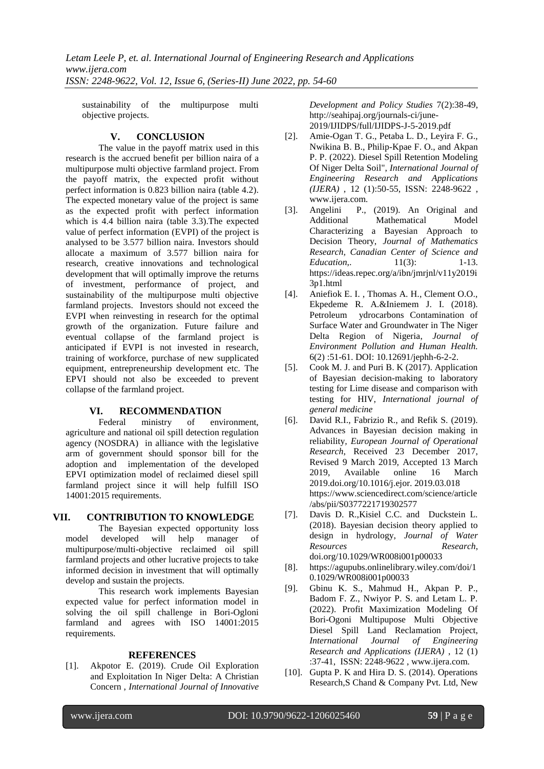sustainability of the multipurpose multi objective projects.

# **V. CONCLUSION**

The value in the payoff matrix used in this research is the accrued benefit per billion naira of a multipurpose multi objective farmland project. From the payoff matrix, the expected profit without perfect information is 0.823 billion naira (table 4.2). The expected monetary value of the project is same as the expected profit with perfect information which is 4.4 billion naira (table 3.3).The expected value of perfect information (EVPI) of the project is analysed to be 3.577 billion naira. Investors should allocate a maximum of 3.577 billion naira for research, creative innovations and technological development that will optimally improve the returns of investment, performance of project, and sustainability of the multipurpose multi objective farmland projects. Investors should not exceed the EVPI when reinvesting in research for the optimal growth of the organization. Future failure and eventual collapse of the farmland project is anticipated if EVPI is not invested in research, training of workforce, purchase of new supplicated equipment, entrepreneurship development etc. The EPVI should not also be exceeded to prevent collapse of the farmland project.

# **VI. RECOMMENDATION**

Federal ministry of environment, agriculture and national oil spill detection regulation agency (NOSDRA) in alliance with the legislative arm of government should sponsor bill for the adoption and implementation of the developed EPVI optimization model of reclaimed diesel spill farmland project since it will help fulfill ISO 14001:2015 requirements.

# **VII. CONTRIBUTION TO KNOWLEDGE**

The Bayesian expected opportunity loss model developed will help manager of multipurpose/multi-objective reclaimed oil spill farmland projects and other lucrative projects to take informed decision in investment that will optimally develop and sustain the projects.

This research work implements Bayesian expected value for perfect information model in solving the oil spill challenge in Bori-Ogloni farmland and agrees with ISO 14001:2015 requirements.

# **REFERENCES**

[1]. Akpotor E. (2019). Crude Oil Exploration and Exploitation In Niger Delta: A Christian Concern , *International Journal of Innovative* 

*Development and Policy Studies* 7(2):38-49, <http://seahipaj.org/journals-ci/june->2019/IJIDPS/full/IJIDPS-J-5-2019.pdf

- [2]. Amie-Ogan T. G., Petaba L. D., Leyira F. G., Nwikina B. B., Philip-Kpae F. O., and Akpan P. P. (2022). Diesel Spill Retention Modeling Of Niger Delta Soil", *International Journal of Engineering Research and Applications (IJERA)* , 12 (1):50-55, ISSN: 2248-9622 , www.ijera.com.
- [3]. Angelini P., (2019). An Original and Additional Mathematical Model Characterizing a Bayesian Approach to Decision Theory, *Journal of Mathematics Research, Canadian Center of Science and Education*, 11(3): 1-13. https://ideas.repec.org/a/ibn/jmrjnl/v11y2019i 3p1.html
- [4]. Aniefiok E. I. , Thomas A. H., Clement O.O., Ekpedeme R. A.&Iniemem J. I. (2018). Petroleum ydrocarbons Contamination of Surface Water and Groundwater in The Niger Delta Region of Nigeria, *Journal of Environment Pollution and Human Health.* 6(2) :51-61. DOI: 10.12691/jephh-6-2-2.
- [5]. Cook M. J. and Puri B. K (2017). Application of Bayesian decision-making to laboratory testing for Lime disease and comparison with testing for HIV, *International journal of general medicine*
- [6]. David R.I., Fabrizio R., and Refik S. (2019). Advances in Bayesian decision making in reliability*, European Journal of Operational Research*, Received 23 December 2017, Revised 9 March 2019, Accepted 13 March 2019, Available online 16 March 2019.doi.org/10.1016/j.ejor. 2019.03.018 https://www.sciencedirect.com/science/article /abs/pii/S0377221719302577
- [7]. Davis D. R.,Kisiel C.C. and Duckstein L. (2018). Bayesian decision theory applied to design in hydrology, *Journal of Water Resources Research*, doi.org/10.1029/WR008i001p00033
- [8]. https://agupubs.onlinelibrary.wiley.com/doi/1 0.1029/WR008i001p00033
- [9]. Gbinu K. S., Mahmud H., Akpan P. P., Badom F. Z., Nwiyor P. S. and Letam L. P. (2022). Profit Maximization Modeling Of Bori-Ogoni Multipupose Multi Objective Diesel Spill Land Reclamation Project, *International Journal of Engineering Research and Applications (IJERA)* , 12 (1) :37-41, ISSN: 2248-9622 [, www.ijera.com.](http://www.ijera.com/)
- [10]. Gupta P. K and Hira D. S. (2014). Operations Research,S Chand & Company Pvt. Ltd, New